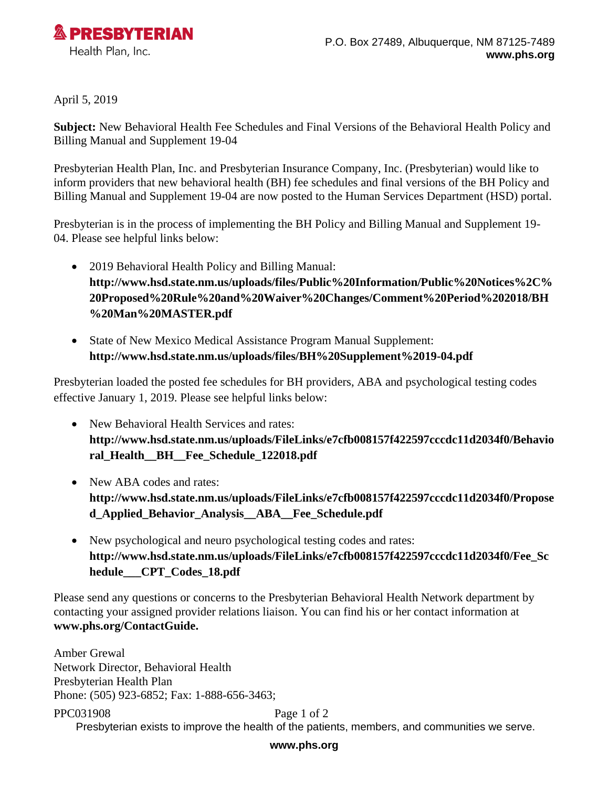

April 5, 2019

**Subject:** New Behavioral Health Fee Schedules and Final Versions of the Behavioral Health Policy and Billing Manual and Supplement 19-04

Presbyterian Health Plan, Inc. and Presbyterian Insurance Company, Inc. (Presbyterian) would like to inform providers that new behavioral health (BH) fee schedules and final versions of the BH Policy and Billing Manual and Supplement 19-04 are now posted to the Human Services Department (HSD) portal.

Presbyterian is in the process of implementing the BH Policy and Billing Manual and Supplement 19- 04. Please see helpful links below:

- 2019 Behavioral Health Policy and Billing Manual: **[http://www.hsd.state.nm.us/uploads/files/Public%20Information/Public%20Notices%2C%](http://www.hsd.state.nm.us/uploads/files/Public%20Information/Public%20Notices%2C%20Proposed%20Rule%20and%20Waiver%20Changes/Comment%20Period%202018/BH%20Man%20MASTER.pdf) [20Proposed%20Rule%20and%20Waiver%20Changes/Comment%20Period%202018/BH](http://www.hsd.state.nm.us/uploads/files/Public%20Information/Public%20Notices%2C%20Proposed%20Rule%20and%20Waiver%20Changes/Comment%20Period%202018/BH%20Man%20MASTER.pdf) [%20Man%20MASTER.pdf](http://www.hsd.state.nm.us/uploads/files/Public%20Information/Public%20Notices%2C%20Proposed%20Rule%20and%20Waiver%20Changes/Comment%20Period%202018/BH%20Man%20MASTER.pdf)**
- State of New Mexico Medical Assistance Program Manual Supplement: **<http://www.hsd.state.nm.us/uploads/files/BH%20Supplement%2019-04.pdf>**

Presbyterian loaded the posted fee schedules for BH providers, ABA and psychological testing codes effective January 1, 2019. Please see helpful links below:

- New Behavioral Health Services and rates: **[http://www.hsd.state.nm.us/uploads/FileLinks/e7cfb008157f422597cccdc11d2034f0/Behavio](http://www.hsd.state.nm.us/uploads/FileLinks/e7cfb008157f422597cccdc11d2034f0/Behavioral_Health__BH__Fee_Schedule_122018.pdf) [ral\\_Health\\_\\_BH\\_\\_Fee\\_Schedule\\_122018.pdf](http://www.hsd.state.nm.us/uploads/FileLinks/e7cfb008157f422597cccdc11d2034f0/Behavioral_Health__BH__Fee_Schedule_122018.pdf)**
- New ABA codes and rates: **[http://www.hsd.state.nm.us/uploads/FileLinks/e7cfb008157f422597cccdc11d2034f0/Propose](http://www.hsd.state.nm.us/uploads/FileLinks/e7cfb008157f422597cccdc11d2034f0/Proposed_Applied_Behavior_Analysis__ABA__Fee_Schedule.pdf) [d\\_Applied\\_Behavior\\_Analysis\\_\\_ABA\\_\\_Fee\\_Schedule.pdf](http://www.hsd.state.nm.us/uploads/FileLinks/e7cfb008157f422597cccdc11d2034f0/Proposed_Applied_Behavior_Analysis__ABA__Fee_Schedule.pdf)**
- New psychological and neuro psychological testing codes and rates: **[http://www.hsd.state.nm.us/uploads/FileLinks/e7cfb008157f422597cccdc11d2034f0/Fee\\_Sc](http://www.hsd.state.nm.us/uploads/FileLinks/e7cfb008157f422597cccdc11d2034f0/Fee_Schedule___CPT_Codes_18.pdf) [hedule\\_\\_\\_CPT\\_Codes\\_18.pdf](http://www.hsd.state.nm.us/uploads/FileLinks/e7cfb008157f422597cccdc11d2034f0/Fee_Schedule___CPT_Codes_18.pdf)**

Please send any questions or concerns to the Presbyterian Behavioral Health Network department by contacting your assigned provider relations liaison. You can find his or her contact information at **[www.phs.org/ContactGuide.](../AppData/Roaming/Microsoft/Word/www.phs.org/ContactGuide)**

Amber Grewal Network Director, Behavioral Health Presbyterian Health Plan Phone: (505) 923-6852; Fax: 1-888-656-3463;

PPC031908 Page 1 of 2 Presbyterian exists to improve the health of the patients, members, and communities we serve.

## **www.phs.org**